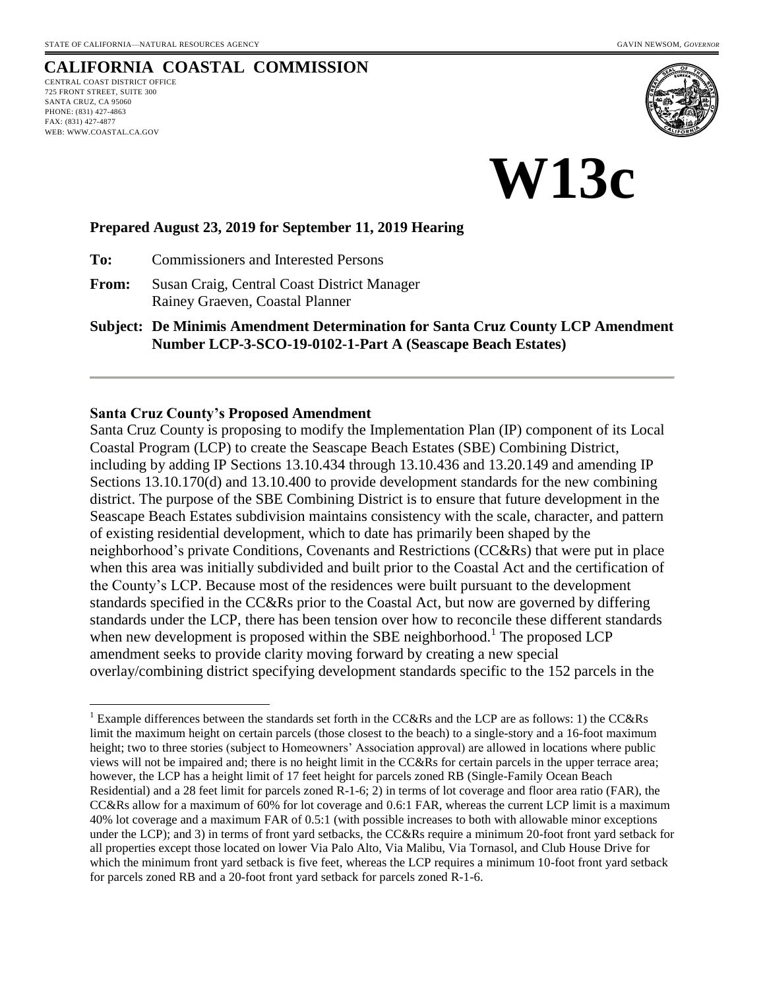# **CALIFORNIA COASTAL COMMISSION**

CENTRAL COAST DISTRICT OFFICE 725 FRONT STREET, SUITE 300 SANTA CRUZ, CA 95060 PHONE: (831) 427-4863 FAX: (831) 427-4877 WEB: WWW.COASTAL.CA.GOV

 $\overline{a}$ 



**W13c**

#### **Prepared August 23, 2019 for September 11, 2019 Hearing**

**To:** Commissioners and Interested Persons

**From:** Susan Craig, Central Coast District Manager Rainey Graeven, Coastal Planner

**Subject: De Minimis Amendment Determination for Santa Cruz County LCP Amendment Number LCP-3-SCO-19-0102-1-Part A (Seascape Beach Estates)**

#### **Santa Cruz County's Proposed Amendment**

Santa Cruz County is proposing to modify the Implementation Plan (IP) component of its Local Coastal Program (LCP) to create the Seascape Beach Estates (SBE) Combining District, including by adding IP Sections 13.10.434 through 13.10.436 and 13.20.149 and amending IP Sections 13.10.170(d) and 13.10.400 to provide development standards for the new combining district. The purpose of the SBE Combining District is to ensure that future development in the Seascape Beach Estates subdivision maintains consistency with the scale, character, and pattern of existing residential development, which to date has primarily been shaped by the neighborhood's private Conditions, Covenants and Restrictions (CC&Rs) that were put in place when this area was initially subdivided and built prior to the Coastal Act and the certification of the County's LCP. Because most of the residences were built pursuant to the development standards specified in the CC&Rs prior to the Coastal Act, but now are governed by differing standards under the LCP, there has been tension over how to reconcile these different standards when new development is proposed within the SBE neighborhood.<sup>1</sup> The proposed LCP amendment seeks to provide clarity moving forward by creating a new special overlay/combining district specifying development standards specific to the 152 parcels in the

<sup>&</sup>lt;sup>1</sup> Example differences between the standards set forth in the CC&Rs and the LCP are as follows: 1) the CC&Rs limit the maximum height on certain parcels (those closest to the beach) to a single-story and a 16-foot maximum height; two to three stories (subject to Homeowners' Association approval) are allowed in locations where public views will not be impaired and; there is no height limit in the CC&Rs for certain parcels in the upper terrace area; however, the LCP has a height limit of 17 feet height for parcels zoned RB (Single-Family Ocean Beach Residential) and a 28 feet limit for parcels zoned R-1-6; 2) in terms of lot coverage and floor area ratio (FAR), the CC&Rs allow for a maximum of 60% for lot coverage and 0.6:1 FAR, whereas the current LCP limit is a maximum 40% lot coverage and a maximum FAR of 0.5:1 (with possible increases to both with allowable minor exceptions under the LCP); and 3) in terms of front yard setbacks, the CC&Rs require a minimum 20-foot front yard setback for all properties except those located on lower Via Palo Alto, Via Malibu, Via Tornasol, and Club House Drive for which the minimum front yard setback is five feet, whereas the LCP requires a minimum 10-foot front yard setback for parcels zoned RB and a 20-foot front yard setback for parcels zoned R-1-6.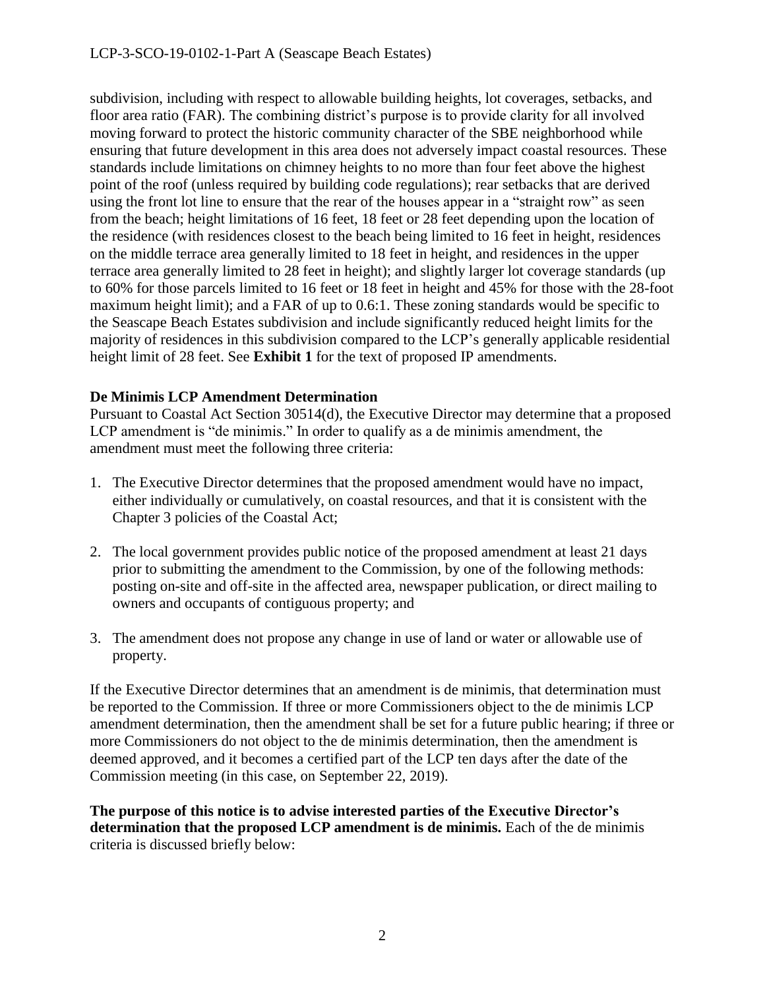subdivision, including with respect to allowable building heights, lot coverages, setbacks, and floor area ratio (FAR). The combining district's purpose is to provide clarity for all involved moving forward to protect the historic community character of the SBE neighborhood while ensuring that future development in this area does not adversely impact coastal resources. These standards include limitations on chimney heights to no more than four feet above the highest point of the roof (unless required by building code regulations); rear setbacks that are derived using the front lot line to ensure that the rear of the houses appear in a "straight row" as seen from the beach; height limitations of 16 feet, 18 feet or 28 feet depending upon the location of the residence (with residences closest to the beach being limited to 16 feet in height, residences on the middle terrace area generally limited to 18 feet in height, and residences in the upper terrace area generally limited to 28 feet in height); and slightly larger lot coverage standards (up to 60% for those parcels limited to 16 feet or 18 feet in height and 45% for those with the 28-foot maximum height limit); and a FAR of up to 0.6:1. These zoning standards would be specific to the Seascape Beach Estates subdivision and include significantly reduced height limits for the majority of residences in this subdivision compared to the LCP's generally applicable residential height limit of 28 feet. See **Exhibit 1** for the text of proposed IP amendments.

#### **De Minimis LCP Amendment Determination**

Pursuant to Coastal Act Section 30514(d), the Executive Director may determine that a proposed LCP amendment is "de minimis." In order to qualify as a de minimis amendment, the amendment must meet the following three criteria:

- 1. The Executive Director determines that the proposed amendment would have no impact, either individually or cumulatively, on coastal resources, and that it is consistent with the Chapter 3 policies of the Coastal Act;
- 2. The local government provides public notice of the proposed amendment at least 21 days prior to submitting the amendment to the Commission, by one of the following methods: posting on-site and off-site in the affected area, newspaper publication, or direct mailing to owners and occupants of contiguous property; and
- 3. The amendment does not propose any change in use of land or water or allowable use of property.

If the Executive Director determines that an amendment is de minimis, that determination must be reported to the Commission. If three or more Commissioners object to the de minimis LCP amendment determination, then the amendment shall be set for a future public hearing; if three or more Commissioners do not object to the de minimis determination, then the amendment is deemed approved, and it becomes a certified part of the LCP ten days after the date of the Commission meeting (in this case, on September 22, 2019).

**The purpose of this notice is to advise interested parties of the Executive Director's determination that the proposed LCP amendment is de minimis.** Each of the de minimis criteria is discussed briefly below: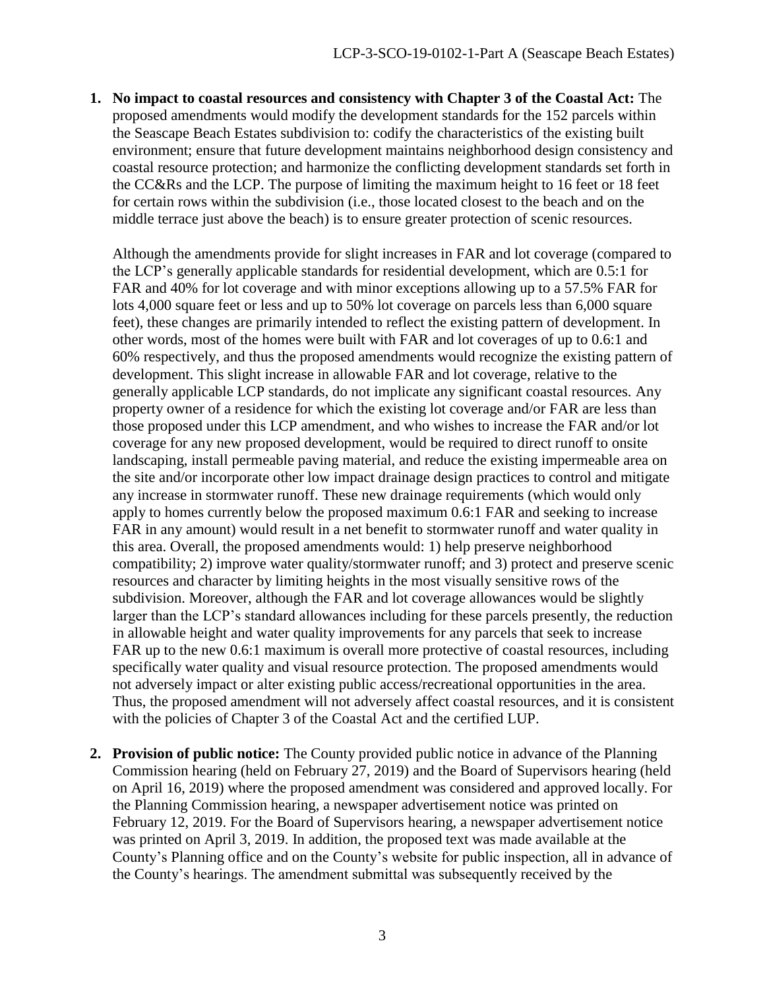**1. No impact to coastal resources and consistency with Chapter 3 of the Coastal Act:** The proposed amendments would modify the development standards for the 152 parcels within the Seascape Beach Estates subdivision to: codify the characteristics of the existing built environment; ensure that future development maintains neighborhood design consistency and coastal resource protection; and harmonize the conflicting development standards set forth in the CC&Rs and the LCP. The purpose of limiting the maximum height to 16 feet or 18 feet for certain rows within the subdivision (i.e., those located closest to the beach and on the middle terrace just above the beach) is to ensure greater protection of scenic resources.

Although the amendments provide for slight increases in FAR and lot coverage (compared to the LCP's generally applicable standards for residential development, which are 0.5:1 for FAR and 40% for lot coverage and with minor exceptions allowing up to a 57.5% FAR for lots 4,000 square feet or less and up to 50% lot coverage on parcels less than 6,000 square feet), these changes are primarily intended to reflect the existing pattern of development. In other words, most of the homes were built with FAR and lot coverages of up to 0.6:1 and 60% respectively, and thus the proposed amendments would recognize the existing pattern of development. This slight increase in allowable FAR and lot coverage, relative to the generally applicable LCP standards, do not implicate any significant coastal resources. Any property owner of a residence for which the existing lot coverage and/or FAR are less than those proposed under this LCP amendment, and who wishes to increase the FAR and/or lot coverage for any new proposed development, would be required to direct runoff to onsite landscaping, install permeable paving material, and reduce the existing impermeable area on the site and/or incorporate other low impact drainage design practices to control and mitigate any increase in stormwater runoff. These new drainage requirements (which would only apply to homes currently below the proposed maximum 0.6:1 FAR and seeking to increase FAR in any amount) would result in a net benefit to stormwater runoff and water quality in this area. Overall, the proposed amendments would: 1) help preserve neighborhood compatibility; 2) improve water quality/stormwater runoff; and 3) protect and preserve scenic resources and character by limiting heights in the most visually sensitive rows of the subdivision. Moreover, although the FAR and lot coverage allowances would be slightly larger than the LCP's standard allowances including for these parcels presently, the reduction in allowable height and water quality improvements for any parcels that seek to increase FAR up to the new 0.6:1 maximum is overall more protective of coastal resources, including specifically water quality and visual resource protection. The proposed amendments would not adversely impact or alter existing public access/recreational opportunities in the area. Thus, the proposed amendment will not adversely affect coastal resources, and it is consistent with the policies of Chapter 3 of the Coastal Act and the certified LUP.

**2. Provision of public notice:** The County provided public notice in advance of the Planning Commission hearing (held on February 27, 2019) and the Board of Supervisors hearing (held on April 16, 2019) where the proposed amendment was considered and approved locally. For the Planning Commission hearing, a newspaper advertisement notice was printed on February 12, 2019. For the Board of Supervisors hearing, a newspaper advertisement notice was printed on April 3, 2019. In addition, the proposed text was made available at the County's Planning office and on the County's website for public inspection, all in advance of the County's hearings. The amendment submittal was subsequently received by the